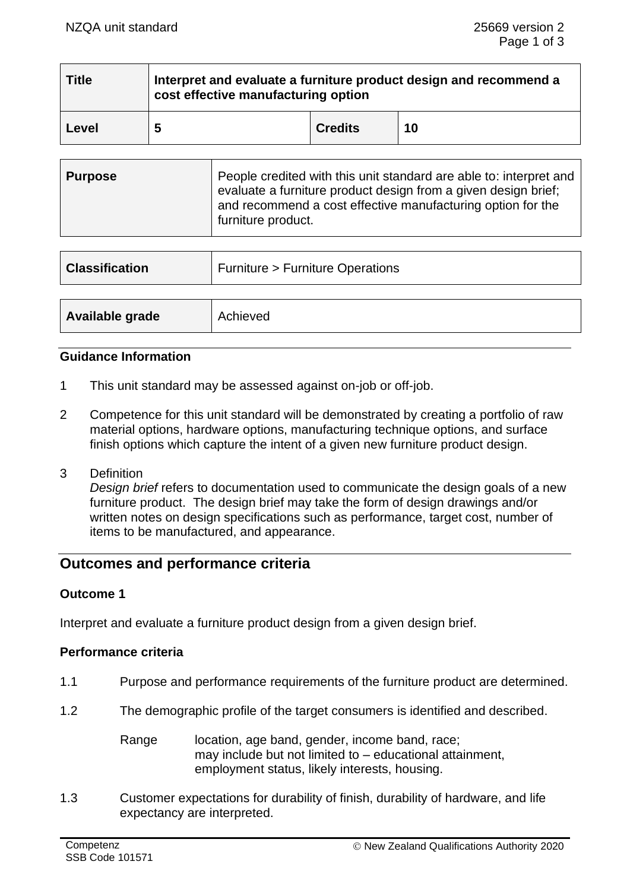| <b>Title</b> | Interpret and evaluate a furniture product design and recommend a<br>cost effective manufacturing option |                |    |
|--------------|----------------------------------------------------------------------------------------------------------|----------------|----|
| Level        | 5                                                                                                        | <b>Credits</b> | 10 |

| <b>Purpose</b> | People credited with this unit standard are able to: interpret and<br>evaluate a furniture product design from a given design brief;<br>and recommend a cost effective manufacturing option for the<br>furniture product. |
|----------------|---------------------------------------------------------------------------------------------------------------------------------------------------------------------------------------------------------------------------|
|----------------|---------------------------------------------------------------------------------------------------------------------------------------------------------------------------------------------------------------------------|

| <b>Classification</b> | <b>Furniture &gt; Furniture Operations</b> |  |
|-----------------------|--------------------------------------------|--|
|                       |                                            |  |
| Available grade       | Achieved                                   |  |

### **Guidance Information**

- 1 This unit standard may be assessed against on-job or off-job.
- 2 Competence for this unit standard will be demonstrated by creating a portfolio of raw material options, hardware options, manufacturing technique options, and surface finish options which capture the intent of a given new furniture product design.
- 3 Definition *Design brief* refers to documentation used to communicate the design goals of a new furniture product. The design brief may take the form of design drawings and/or written notes on design specifications such as performance, target cost, number of items to be manufactured, and appearance.

# **Outcomes and performance criteria**

# **Outcome 1**

Interpret and evaluate a furniture product design from a given design brief.

### **Performance criteria**

- 1.1 Purpose and performance requirements of the furniture product are determined.
- 1.2 The demographic profile of the target consumers is identified and described.

Range location, age band, gender, income band, race; may include but not limited to – educational attainment, employment status, likely interests, housing.

1.3 Customer expectations for durability of finish, durability of hardware, and life expectancy are interpreted.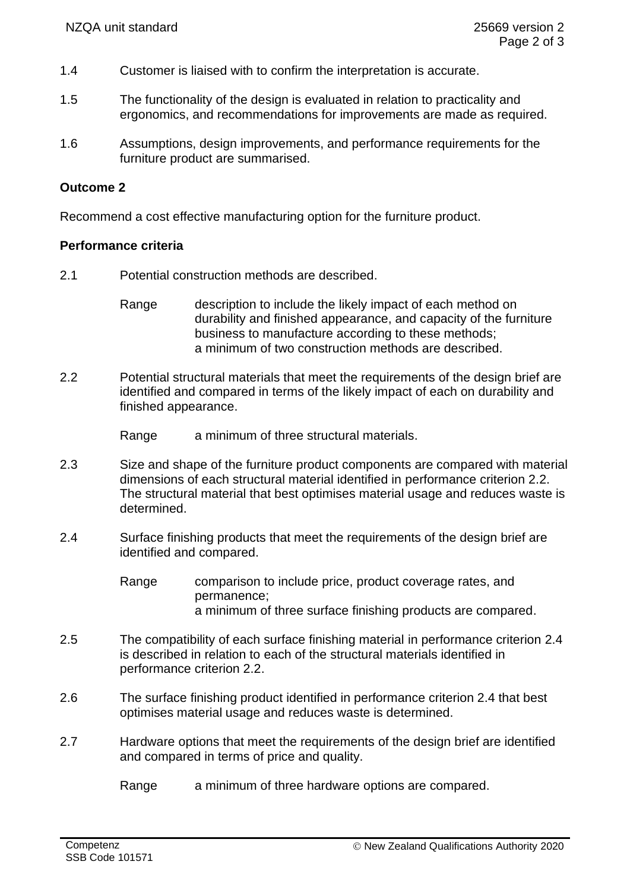- 1.4 Customer is liaised with to confirm the interpretation is accurate.
- 1.5 The functionality of the design is evaluated in relation to practicality and ergonomics, and recommendations for improvements are made as required.
- 1.6 Assumptions, design improvements, and performance requirements for the furniture product are summarised.

## **Outcome 2**

Recommend a cost effective manufacturing option for the furniture product.

#### **Performance criteria**

- 2.1 Potential construction methods are described.
	- Range description to include the likely impact of each method on durability and finished appearance, and capacity of the furniture business to manufacture according to these methods; a minimum of two construction methods are described.
- 2.2 Potential structural materials that meet the requirements of the design brief are identified and compared in terms of the likely impact of each on durability and finished appearance.
	- Range a minimum of three structural materials.
- 2.3 Size and shape of the furniture product components are compared with material dimensions of each structural material identified in performance criterion 2.2. The structural material that best optimises material usage and reduces waste is determined.
- 2.4 Surface finishing products that meet the requirements of the design brief are identified and compared.

Range comparison to include price, product coverage rates, and permanence; a minimum of three surface finishing products are compared.

- 2.5 The compatibility of each surface finishing material in performance criterion 2.4 is described in relation to each of the structural materials identified in performance criterion 2.2.
- 2.6 The surface finishing product identified in performance criterion 2.4 that best optimises material usage and reduces waste is determined.
- 2.7 Hardware options that meet the requirements of the design brief are identified and compared in terms of price and quality.
	- Range a minimum of three hardware options are compared.